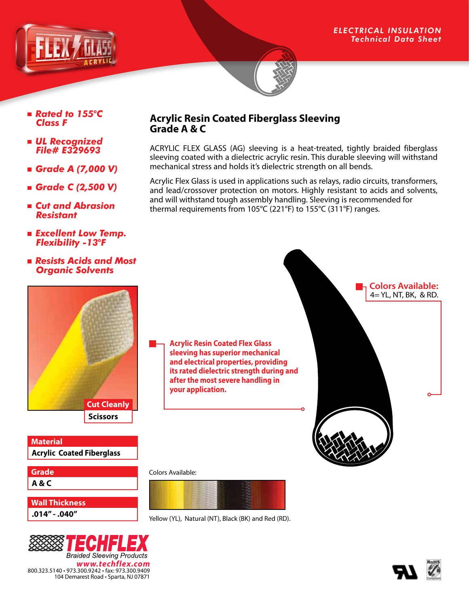

- *Rated to 155*°*C Class F*
- *UL Recognized File# E329693*
- *Grade A (7,000 V)*
- *Grade C (2,500 V)*
- *Cut and Abrasion Resistant*
- *Excellent Low Temp. Flexibility -13*°*F*
- *Resists Acids and Most Organic Solvents*

# **Acrylic Resin Coated Fiberglass Sleeving Grade A & C**

ACRYLIC FLEX GLASS (AG) sleeving is a heat-treated, tightly braided fiberglass sleeving coated with a dielectric acrylic resin. This durable sleeving will withstand mechanical stress and holds it's dielectric strength on all bends.

Acrylic Flex Glass is used in applications such as relays, radio circuits, transformers, and lead/crossover protection on motors. Highly resistant to acids and solvents, and will withstand tough assembly handling. Sleeving is recommended for thermal requirements from 105°C (221°F) to 155°C (311°F) ranges.





Yellow (YL), Natural (NT), Black (BK) and Red (RD).



**Acrylic Coated Fiberglass**

**Scissors Cut Cleanly**

**Material**

**A & C Grade**

**.014" - .040" Wall Thickness**